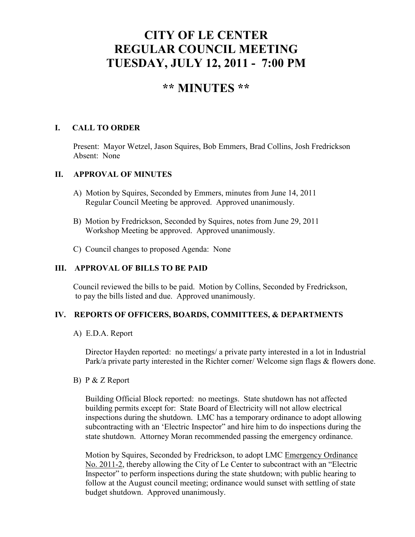# **CITY OF LE CENTER REGULAR COUNCIL MEETING TUESDAY, JULY 12, 2011 - 7:00 PM**

# **\*\* MINUTES \*\***

## **I. CALL TO ORDER**

Present: Mayor Wetzel, Jason Squires, Bob Emmers, Brad Collins, Josh Fredrickson Absent: None

#### **II. APPROVAL OF MINUTES**

- A) Motion by Squires, Seconded by Emmers, minutes from June 14, 2011 Regular Council Meeting be approved. Approved unanimously.
- B) Motion by Fredrickson, Seconded by Squires, notes from June 29, 2011 Workshop Meeting be approved. Approved unanimously.
- C) Council changes to proposed Agenda: None

#### **III. APPROVAL OF BILLS TO BE PAID**

Council reviewed the bills to be paid. Motion by Collins, Seconded by Fredrickson, to pay the bills listed and due. Approved unanimously.

#### **IV. REPORTS OF OFFICERS, BOARDS, COMMITTEES, & DEPARTMENTS**

A) E.D.A. Report

 Director Hayden reported: no meetings/ a private party interested in a lot in Industrial Park/a private party interested in the Richter corner/ Welcome sign flags & flowers done.

B) P & Z Report

 Building Official Block reported: no meetings. State shutdown has not affected building permits except for: State Board of Electricity will not allow electrical inspections during the shutdown. LMC has a temporary ordinance to adopt allowing subcontracting with an 'Electric Inspector" and hire him to do inspections during the state shutdown. Attorney Moran recommended passing the emergency ordinance.

 Motion by Squires, Seconded by Fredrickson, to adopt LMC Emergency Ordinance No. 2011-2, thereby allowing the City of Le Center to subcontract with an "Electric Inspector" to perform inspections during the state shutdown; with public hearing to follow at the August council meeting; ordinance would sunset with settling of state budget shutdown. Approved unanimously.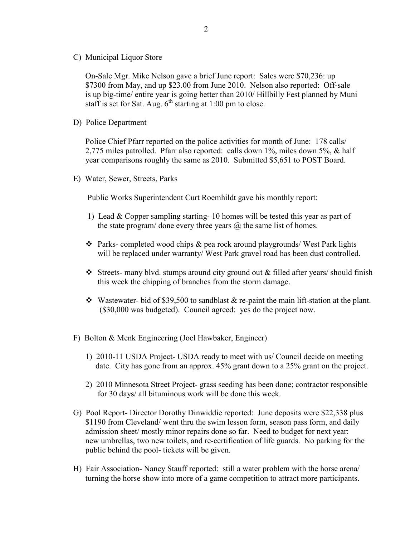C) Municipal Liquor Store

On-Sale Mgr. Mike Nelson gave a brief June report: Sales were \$70,236: up \$7300 from May, and up \$23.00 from June 2010. Nelson also reported: Off-sale is up big-time/ entire year is going better than 2010/ Hillbilly Fest planned by Muni staff is set for Sat. Aug.  $6<sup>th</sup>$  starting at 1:00 pm to close.

D) Police Department

Police Chief Pfarr reported on the police activities for month of June: 178 calls/ 2,775 miles patrolled. Pfarr also reported: calls down 1%, miles down 5%, & half year comparisons roughly the same as 2010. Submitted \$5,651 to POST Board.

E) Water, Sewer, Streets, Parks

Public Works Superintendent Curt Roemhildt gave his monthly report:

- 1) Lead & Copper sampling starting- 10 homes will be tested this year as part of the state program/ done every three years  $\omega$  the same list of homes.
- $\triangle$  Parks- completed wood chips  $\&$  pea rock around playgrounds/ West Park lights will be replaced under warranty/ West Park gravel road has been dust controlled.
- Streets- many blvd. stumps around city ground out  $\&$  filled after years/ should finish this week the chipping of branches from the storm damage.
- $\cdot$  Wastewater- bid of \$39,500 to sandblast & re-paint the main lift-station at the plant. (\$30,000 was budgeted). Council agreed: yes do the project now.
- F) Bolton & Menk Engineering (Joel Hawbaker, Engineer)
	- 1) 2010-11 USDA Project- USDA ready to meet with us/ Council decide on meeting date. City has gone from an approx. 45% grant down to a 25% grant on the project.
	- 2) 2010 Minnesota Street Project- grass seeding has been done; contractor responsible for 30 days/ all bituminous work will be done this week.
- G) Pool Report- Director Dorothy Dinwiddie reported: June deposits were \$22,338 plus \$1190 from Cleveland/ went thru the swim lesson form, season pass form, and daily admission sheet/ mostly minor repairs done so far. Need to budget for next year: new umbrellas, two new toilets, and re-certification of life guards. No parking for the public behind the pool- tickets will be given.
- H) Fair Association- Nancy Stauff reported: still a water problem with the horse arena/ turning the horse show into more of a game competition to attract more participants.